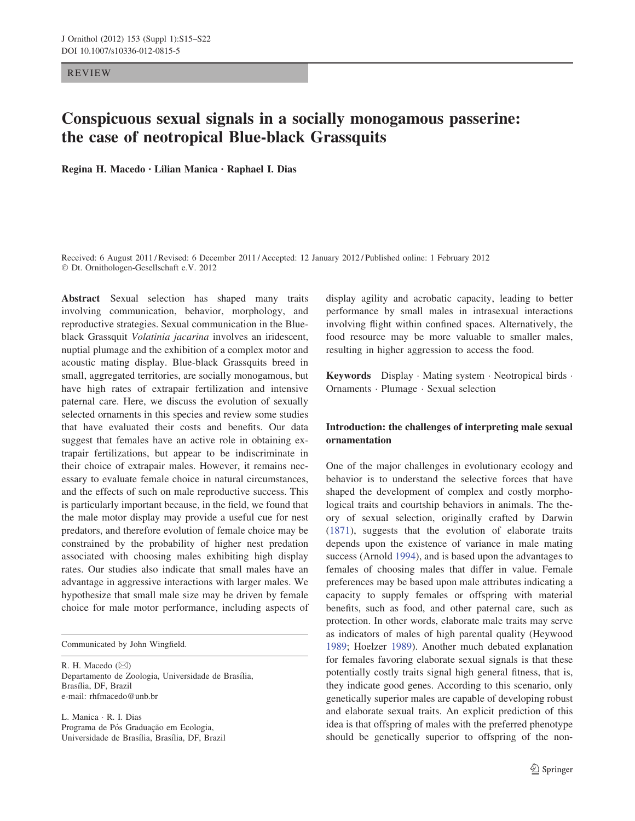**REVIEW** 

# Conspicuous sexual signals in a socially monogamous passerine: the case of neotropical Blue-black Grassquits

Regina H. Macedo • Lilian Manica • Raphael I. Dias

Received: 6 August 2011 / Revised: 6 December 2011 / Accepted: 12 January 2012 / Published online: 1 February 2012 Ó Dt. Ornithologen-Gesellschaft e.V. 2012

Abstract Sexual selection has shaped many traits involving communication, behavior, morphology, and reproductive strategies. Sexual communication in the Blueblack Grassquit Volatinia jacarina involves an iridescent, nuptial plumage and the exhibition of a complex motor and acoustic mating display. Blue-black Grassquits breed in small, aggregated territories, are socially monogamous, but have high rates of extrapair fertilization and intensive paternal care. Here, we discuss the evolution of sexually selected ornaments in this species and review some studies that have evaluated their costs and benefits. Our data suggest that females have an active role in obtaining extrapair fertilizations, but appear to be indiscriminate in their choice of extrapair males. However, it remains necessary to evaluate female choice in natural circumstances, and the effects of such on male reproductive success. This is particularly important because, in the field, we found that the male motor display may provide a useful cue for nest predators, and therefore evolution of female choice may be constrained by the probability of higher nest predation associated with choosing males exhibiting high display rates. Our studies also indicate that small males have an advantage in aggressive interactions with larger males. We hypothesize that small male size may be driven by female choice for male motor performance, including aspects of

Communicated by John Wingfield.

R. H. Macedo  $(\boxtimes)$ Departamento de Zoologia, Universidade de Brasília, Brasília, DF, Brazil e-mail: rhfmacedo@unb.br

L. Manica · R. I. Dias Programa de Pós Graduação em Ecologia, Universidade de Brasília, Brasília, DF, Brazil display agility and acrobatic capacity, leading to better performance by small males in intrasexual interactions involving flight within confined spaces. Alternatively, the food resource may be more valuable to smaller males, resulting in higher aggression to access the food.

Keywords Display · Mating system · Neotropical birds · Ornaments · Plumage · Sexual selection

# Introduction: the challenges of interpreting male sexual ornamentation

One of the major challenges in evolutionary ecology and behavior is to understand the selective forces that have shaped the development of complex and costly morphological traits and courtship behaviors in animals. The theory of sexual selection, originally crafted by Darwin (1871), suggests that the evolution of elaborate traits depends upon the existence of variance in male mating success (Arnold 1994), and is based upon the advantages to females of choosing males that differ in value. Female preferences may be based upon male attributes indicating a capacity to supply females or offspring with material benefits, such as food, and other paternal care, such as protection. In other words, elaborate male traits may serve as indicators of males of high parental quality (Heywood 1989; Hoelzer 1989). Another much debated explanation for females favoring elaborate sexual signals is that these potentially costly traits signal high general fitness, that is, they indicate good genes. According to this scenario, only genetically superior males are capable of developing robust and elaborate sexual traits. An explicit prediction of this idea is that offspring of males with the preferred phenotype should be genetically superior to offspring of the non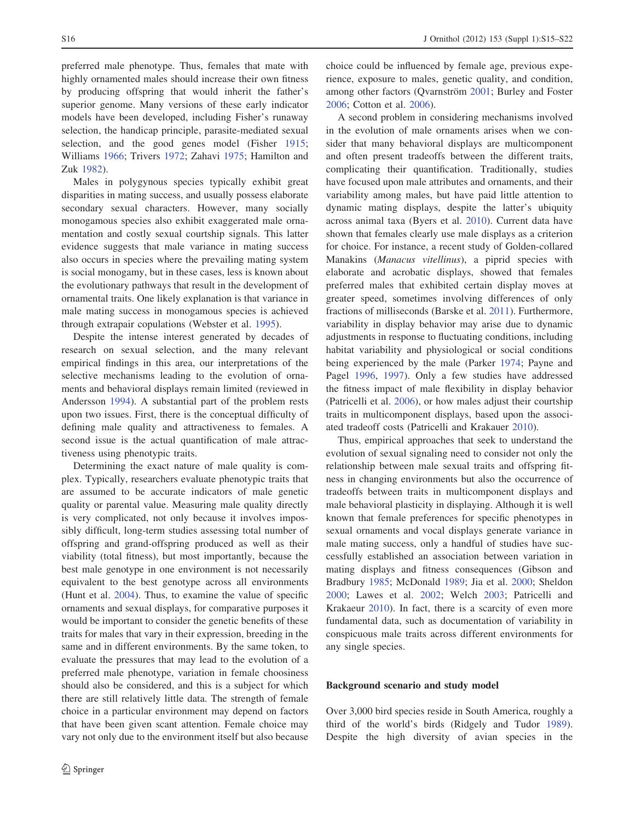preferred male phenotype. Thus, females that mate with highly ornamented males should increase their own fitness by producing offspring that would inherit the father's superior genome. Many versions of these early indicator models have been developed, including Fisher's runaway selection, the handicap principle, parasite-mediated sexual selection, and the good genes model (Fisher 1915; Williams 1966; Trivers 1972; Zahavi 1975; Hamilton and Zuk 1982).

Males in polygynous species typically exhibit great disparities in mating success, and usually possess elaborate secondary sexual characters. However, many socially monogamous species also exhibit exaggerated male ornamentation and costly sexual courtship signals. This latter evidence suggests that male variance in mating success also occurs in species where the prevailing mating system is social monogamy, but in these cases, less is known about the evolutionary pathways that result in the development of ornamental traits. One likely explanation is that variance in male mating success in monogamous species is achieved through extrapair copulations (Webster et al. 1995).

Despite the intense interest generated by decades of research on sexual selection, and the many relevant empirical findings in this area, our interpretations of the selective mechanisms leading to the evolution of ornaments and behavioral displays remain limited (reviewed in Andersson 1994). A substantial part of the problem rests upon two issues. First, there is the conceptual difficulty of defining male quality and attractiveness to females. A second issue is the actual quantification of male attractiveness using phenotypic traits.

Determining the exact nature of male quality is complex. Typically, researchers evaluate phenotypic traits that are assumed to be accurate indicators of male genetic quality or parental value. Measuring male quality directly is very complicated, not only because it involves impossibly difficult, long-term studies assessing total number of offspring and grand-offspring produced as well as their viability (total fitness), but most importantly, because the best male genotype in one environment is not necessarily equivalent to the best genotype across all environments (Hunt et al. 2004). Thus, to examine the value of specific ornaments and sexual displays, for comparative purposes it would be important to consider the genetic benefits of these traits for males that vary in their expression, breeding in the same and in different environments. By the same token, to evaluate the pressures that may lead to the evolution of a preferred male phenotype, variation in female choosiness should also be considered, and this is a subject for which there are still relatively little data. The strength of female choice in a particular environment may depend on factors that have been given scant attention. Female choice may vary not only due to the environment itself but also because

choice could be influenced by female age, previous experience, exposure to males, genetic quality, and condition, among other factors (Qvarnström 2001; Burley and Foster 2006; Cotton et al. 2006).

A second problem in considering mechanisms involved in the evolution of male ornaments arises when we consider that many behavioral displays are multicomponent and often present tradeoffs between the different traits, complicating their quantification. Traditionally, studies have focused upon male attributes and ornaments, and their variability among males, but have paid little attention to dynamic mating displays, despite the latter's ubiquity across animal taxa (Byers et al. 2010). Current data have shown that females clearly use male displays as a criterion for choice. For instance, a recent study of Golden-collared Manakins (Manacus vitellinus), a piprid species with elaborate and acrobatic displays, showed that females preferred males that exhibited certain display moves at greater speed, sometimes involving differences of only fractions of milliseconds (Barske et al. 2011). Furthermore, variability in display behavior may arise due to dynamic adjustments in response to fluctuating conditions, including habitat variability and physiological or social conditions being experienced by the male (Parker 1974; Payne and Pagel 1996, 1997). Only a few studies have addressed the fitness impact of male flexibility in display behavior (Patricelli et al. 2006), or how males adjust their courtship traits in multicomponent displays, based upon the associated tradeoff costs (Patricelli and Krakauer 2010).

Thus, empirical approaches that seek to understand the evolution of sexual signaling need to consider not only the relationship between male sexual traits and offspring fitness in changing environments but also the occurrence of tradeoffs between traits in multicomponent displays and male behavioral plasticity in displaying. Although it is well known that female preferences for specific phenotypes in sexual ornaments and vocal displays generate variance in male mating success, only a handful of studies have successfully established an association between variation in mating displays and fitness consequences (Gibson and Bradbury 1985; McDonald 1989; Jia et al. 2000; Sheldon 2000; Lawes et al. 2002; Welch 2003; Patricelli and Krakaeur 2010). In fact, there is a scarcity of even more fundamental data, such as documentation of variability in conspicuous male traits across different environments for any single species.

#### Background scenario and study model

Over 3,000 bird species reside in South America, roughly a third of the world's birds (Ridgely and Tudor 1989). Despite the high diversity of avian species in the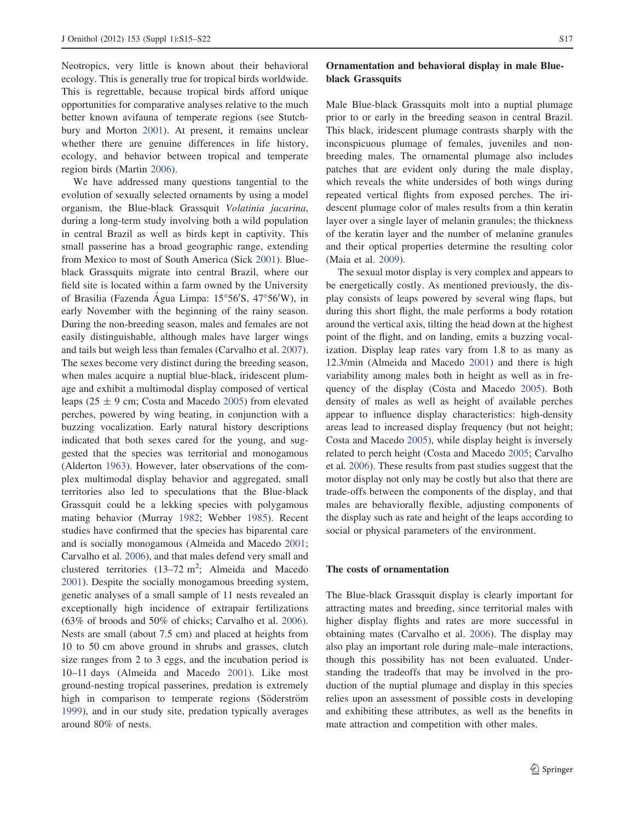Neotropics, very little is known about their behavioral ecology. This is generally true for tropical birds worldwide. This is regrettable, because tropical birds afford unique opportunities for comparative analyses relative to the much better known avifauna of temperate regions (see Stutchbury and Morton 2001). At present, it remains unclear whether there are genuine differences in life history, ecology, and behavior between tropical and temperate region birds (Martin 2006).

We have addressed many questions tangential to the evolution of sexually selected ornaments by using a model organism, the Blue-black Grassquit Volatinia jacarina, during a long-term study involving both a wild population in central Brazil as well as birds kept in captivity. This small passerine has a broad geographic range, extending from Mexico to most of South America (Sick 2001). Blueblack Grassquits migrate into central Brazil, where our field site is located within a farm owned by the University of Brasilia (Fazenda Água Limpa:  $15^{\circ}56^{\prime}S$ ,  $47^{\circ}56^{\prime}W$ ), in early November with the beginning of the rainy season. During the non-breeding season, males and females are not easily distinguishable, although males have larger wings and tails but weigh less than females (Carvalho et al. 2007). The sexes become very distinct during the breeding season, when males acquire a nuptial blue-black, iridescent plumage and exhibit a multimodal display composed of vertical leaps (25  $\pm$  9 cm; Costa and Macedo 2005) from elevated perches, powered by wing beating, in conjunction with a buzzing vocalization. Early natural history descriptions indicated that both sexes cared for the young, and suggested that the species was territorial and monogamous (Alderton 1963). However, later observations of the complex multimodal display behavior and aggregated, small territories also led to speculations that the Blue-black Grassquit could be a lekking species with polygamous mating behavior (Murray 1982; Webber 1985). Recent studies have confirmed that the species has biparental care and is socially monogamous (Almeida and Macedo 2001; Carvalho et al. 2006), and that males defend very small and clustered territories  $(13-72 \text{ m}^2)$ ; Almeida and Macedo 2001). Despite the socially monogamous breeding system, genetic analyses of a small sample of 11 nests revealed an exceptionally high incidence of extrapair fertilizations (63% of broods and 50% of chicks; Carvalho et al. 2006). Nests are small (about 7.5 cm) and placed at heights from 10 to 50 cm above ground in shrubs and grasses, clutch size ranges from 2 to 3 eggs, and the incubation period is 10–11 days (Almeida and Macedo 2001). Like most ground-nesting tropical passerines, predation is extremely high in comparison to temperate regions (Söderström 1999), and in our study site, predation typically averages around 80% of nests.

## Ornamentation and behavioral display in male Blueblack Grassquits

Male Blue-black Grassquits molt into a nuptial plumage prior to or early in the breeding season in central Brazil. This black, iridescent plumage contrasts sharply with the inconspicuous plumage of females, juveniles and nonbreeding males. The ornamental plumage also includes patches that are evident only during the male display, which reveals the white undersides of both wings during repeated vertical flights from exposed perches. The iridescent plumage color of males results from a thin keratin layer over a single layer of melanin granules; the thickness of the keratin layer and the number of melanine granules and their optical properties determine the resulting color (Maia et al. 2009).

The sexual motor display is very complex and appears to be energetically costly. As mentioned previously, the display consists of leaps powered by several wing flaps, but during this short flight, the male performs a body rotation around the vertical axis, tilting the head down at the highest point of the flight, and on landing, emits a buzzing vocalization. Display leap rates vary from 1.8 to as many as 12.3/min (Almeida and Macedo 2001) and there is high variability among males both in height as well as in frequency of the display (Costa and Macedo 2005). Both density of males as well as height of available perches appear to influence display characteristics: high-density areas lead to increased display frequency (but not height; Costa and Macedo 2005), while display height is inversely related to perch height (Costa and Macedo 2005; Carvalho et al. 2006). These results from past studies suggest that the motor display not only may be costly but also that there are trade-offs between the components of the display, and that males are behaviorally flexible, adjusting components of the display such as rate and height of the leaps according to social or physical parameters of the environment.

## The costs of ornamentation

The Blue-black Grassquit display is clearly important for attracting mates and breeding, since territorial males with higher display flights and rates are more successful in obtaining mates (Carvalho et al. 2006). The display may also play an important role during male–male interactions, though this possibility has not been evaluated. Understanding the tradeoffs that may be involved in the production of the nuptial plumage and display in this species relies upon an assessment of possible costs in developing and exhibiting these attributes, as well as the benefits in mate attraction and competition with other males.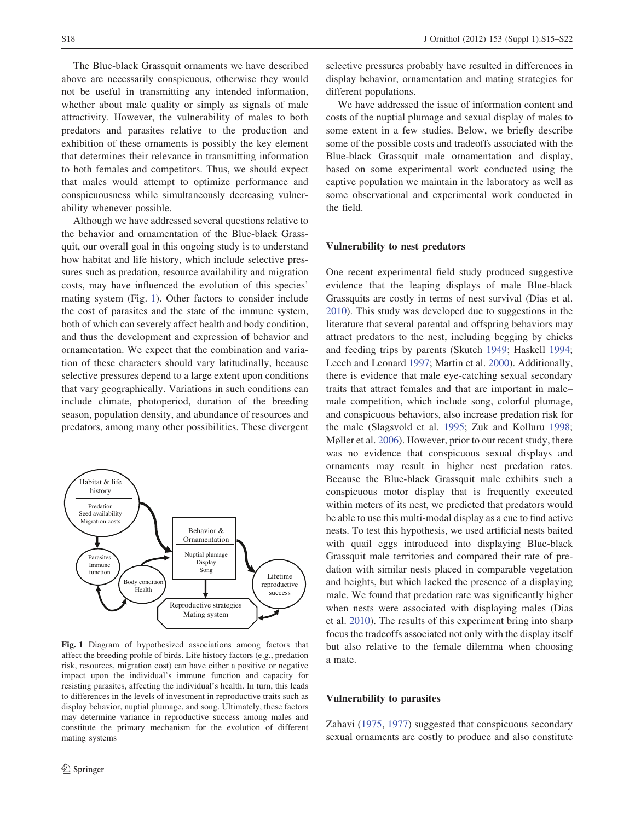The Blue-black Grassquit ornaments we have described above are necessarily conspicuous, otherwise they would not be useful in transmitting any intended information, whether about male quality or simply as signals of male attractivity. However, the vulnerability of males to both predators and parasites relative to the production and exhibition of these ornaments is possibly the key element that determines their relevance in transmitting information to both females and competitors. Thus, we should expect that males would attempt to optimize performance and conspicuousness while simultaneously decreasing vulnerability whenever possible.

Although we have addressed several questions relative to the behavior and ornamentation of the Blue-black Grassquit, our overall goal in this ongoing study is to understand how habitat and life history, which include selective pressures such as predation, resource availability and migration costs, may have influenced the evolution of this species' mating system (Fig. 1). Other factors to consider include the cost of parasites and the state of the immune system, both of which can severely affect health and body condition, and thus the development and expression of behavior and ornamentation. We expect that the combination and variation of these characters should vary latitudinally, because selective pressures depend to a large extent upon conditions that vary geographically. Variations in such conditions can include climate, photoperiod, duration of the breeding season, population density, and abundance of resources and predators, among many other possibilities. These divergent



Fig. 1 Diagram of hypothesized associations among factors that affect the breeding profile of birds. Life history factors (e.g., predation risk, resources, migration cost) can have either a positive or negative impact upon the individual's immune function and capacity for resisting parasites, affecting the individual's health. In turn, this leads to differences in the levels of investment in reproductive traits such as display behavior, nuptial plumage, and song. Ultimately, these factors may determine variance in reproductive success among males and constitute the primary mechanism for the evolution of different mating systems

selective pressures probably have resulted in differences in display behavior, ornamentation and mating strategies for different populations.

We have addressed the issue of information content and costs of the nuptial plumage and sexual display of males to some extent in a few studies. Below, we briefly describe some of the possible costs and tradeoffs associated with the Blue-black Grassquit male ornamentation and display, based on some experimental work conducted using the captive population we maintain in the laboratory as well as some observational and experimental work conducted in the field.

## Vulnerability to nest predators

One recent experimental field study produced suggestive evidence that the leaping displays of male Blue-black Grassquits are costly in terms of nest survival (Dias et al. 2010). This study was developed due to suggestions in the literature that several parental and offspring behaviors may attract predators to the nest, including begging by chicks and feeding trips by parents (Skutch 1949; Haskell 1994; Leech and Leonard 1997; Martin et al. 2000). Additionally, there is evidence that male eye-catching sexual secondary traits that attract females and that are important in male– male competition, which include song, colorful plumage, and conspicuous behaviors, also increase predation risk for the male (Slagsvold et al. 1995; Zuk and Kolluru 1998; Møller et al. 2006). However, prior to our recent study, there was no evidence that conspicuous sexual displays and ornaments may result in higher nest predation rates. Because the Blue-black Grassquit male exhibits such a conspicuous motor display that is frequently executed within meters of its nest, we predicted that predators would be able to use this multi-modal display as a cue to find active nests. To test this hypothesis, we used artificial nests baited with quail eggs introduced into displaying Blue-black Grassquit male territories and compared their rate of predation with similar nests placed in comparable vegetation and heights, but which lacked the presence of a displaying male. We found that predation rate was significantly higher when nests were associated with displaying males (Dias et al. 2010). The results of this experiment bring into sharp focus the tradeoffs associated not only with the display itself but also relative to the female dilemma when choosing a mate.

### Vulnerability to parasites

Zahavi (1975, 1977) suggested that conspicuous secondary sexual ornaments are costly to produce and also constitute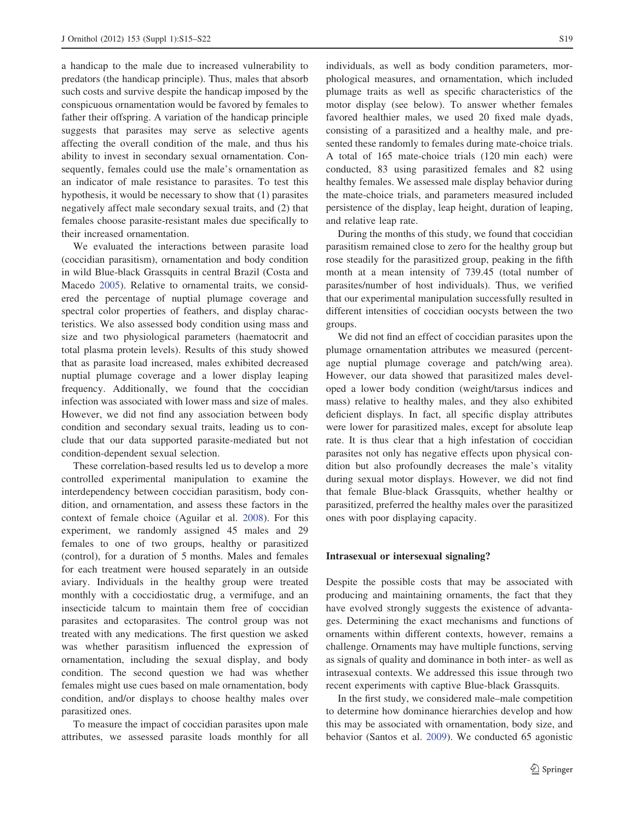a handicap to the male due to increased vulnerability to predators (the handicap principle). Thus, males that absorb such costs and survive despite the handicap imposed by the conspicuous ornamentation would be favored by females to father their offspring. A variation of the handicap principle suggests that parasites may serve as selective agents affecting the overall condition of the male, and thus his ability to invest in secondary sexual ornamentation. Consequently, females could use the male's ornamentation as an indicator of male resistance to parasites. To test this hypothesis, it would be necessary to show that (1) parasites negatively affect male secondary sexual traits, and (2) that females choose parasite-resistant males due specifically to their increased ornamentation.

We evaluated the interactions between parasite load (coccidian parasitism), ornamentation and body condition in wild Blue-black Grassquits in central Brazil (Costa and Macedo 2005). Relative to ornamental traits, we considered the percentage of nuptial plumage coverage and spectral color properties of feathers, and display characteristics. We also assessed body condition using mass and size and two physiological parameters (haematocrit and total plasma protein levels). Results of this study showed that as parasite load increased, males exhibited decreased nuptial plumage coverage and a lower display leaping frequency. Additionally, we found that the coccidian infection was associated with lower mass and size of males. However, we did not find any association between body condition and secondary sexual traits, leading us to conclude that our data supported parasite-mediated but not condition-dependent sexual selection.

These correlation-based results led us to develop a more controlled experimental manipulation to examine the interdependency between coccidian parasitism, body condition, and ornamentation, and assess these factors in the context of female choice (Aguilar et al. 2008). For this experiment, we randomly assigned 45 males and 29 females to one of two groups, healthy or parasitized (control), for a duration of 5 months. Males and females for each treatment were housed separately in an outside aviary. Individuals in the healthy group were treated monthly with a coccidiostatic drug, a vermifuge, and an insecticide talcum to maintain them free of coccidian parasites and ectoparasites. The control group was not treated with any medications. The first question we asked was whether parasitism influenced the expression of ornamentation, including the sexual display, and body condition. The second question we had was whether females might use cues based on male ornamentation, body condition, and/or displays to choose healthy males over parasitized ones.

To measure the impact of coccidian parasites upon male attributes, we assessed parasite loads monthly for all

individuals, as well as body condition parameters, morphological measures, and ornamentation, which included plumage traits as well as specific characteristics of the motor display (see below). To answer whether females favored healthier males, we used 20 fixed male dyads, consisting of a parasitized and a healthy male, and presented these randomly to females during mate-choice trials. A total of 165 mate-choice trials (120 min each) were conducted, 83 using parasitized females and 82 using healthy females. We assessed male display behavior during the mate-choice trials, and parameters measured included persistence of the display, leap height, duration of leaping, and relative leap rate.

During the months of this study, we found that coccidian parasitism remained close to zero for the healthy group but rose steadily for the parasitized group, peaking in the fifth month at a mean intensity of 739.45 (total number of parasites/number of host individuals). Thus, we verified that our experimental manipulation successfully resulted in different intensities of coccidian oocysts between the two groups.

We did not find an effect of coccidian parasites upon the plumage ornamentation attributes we measured (percentage nuptial plumage coverage and patch/wing area). However, our data showed that parasitized males developed a lower body condition (weight/tarsus indices and mass) relative to healthy males, and they also exhibited deficient displays. In fact, all specific display attributes were lower for parasitized males, except for absolute leap rate. It is thus clear that a high infestation of coccidian parasites not only has negative effects upon physical condition but also profoundly decreases the male's vitality during sexual motor displays. However, we did not find that female Blue-black Grassquits, whether healthy or parasitized, preferred the healthy males over the parasitized ones with poor displaying capacity.

### Intrasexual or intersexual signaling?

Despite the possible costs that may be associated with producing and maintaining ornaments, the fact that they have evolved strongly suggests the existence of advantages. Determining the exact mechanisms and functions of ornaments within different contexts, however, remains a challenge. Ornaments may have multiple functions, serving as signals of quality and dominance in both inter- as well as intrasexual contexts. We addressed this issue through two recent experiments with captive Blue-black Grassquits.

In the first study, we considered male–male competition to determine how dominance hierarchies develop and how this may be associated with ornamentation, body size, and behavior (Santos et al. 2009). We conducted 65 agonistic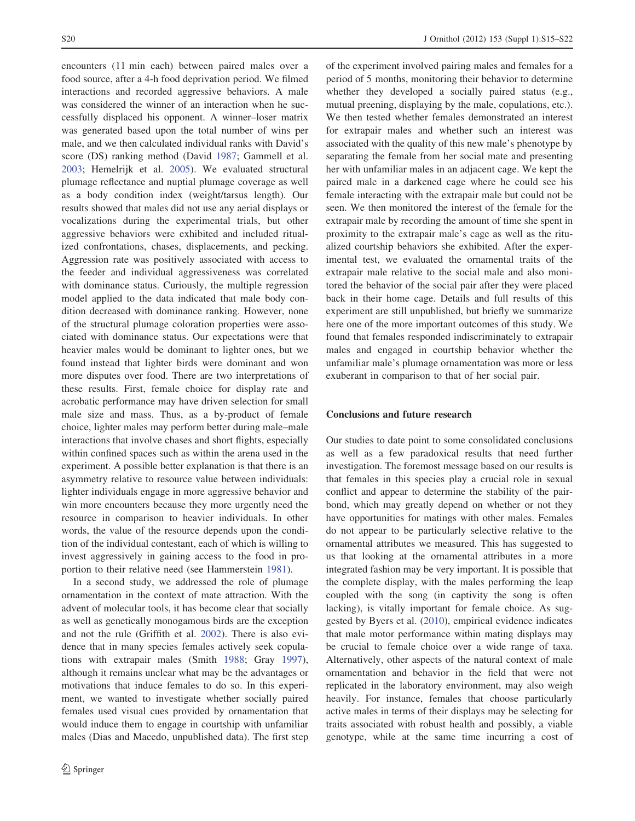encounters (11 min each) between paired males over a food source, after a 4-h food deprivation period. We filmed interactions and recorded aggressive behaviors. A male was considered the winner of an interaction when he successfully displaced his opponent. A winner–loser matrix was generated based upon the total number of wins per male, and we then calculated individual ranks with David's score (DS) ranking method (David 1987; Gammell et al. 2003; Hemelrijk et al. 2005). We evaluated structural plumage reflectance and nuptial plumage coverage as well as a body condition index (weight/tarsus length). Our results showed that males did not use any aerial displays or vocalizations during the experimental trials, but other aggressive behaviors were exhibited and included ritualized confrontations, chases, displacements, and pecking. Aggression rate was positively associated with access to the feeder and individual aggressiveness was correlated with dominance status. Curiously, the multiple regression model applied to the data indicated that male body condition decreased with dominance ranking. However, none of the structural plumage coloration properties were associated with dominance status. Our expectations were that heavier males would be dominant to lighter ones, but we found instead that lighter birds were dominant and won more disputes over food. There are two interpretations of these results. First, female choice for display rate and acrobatic performance may have driven selection for small male size and mass. Thus, as a by-product of female choice, lighter males may perform better during male–male interactions that involve chases and short flights, especially within confined spaces such as within the arena used in the experiment. A possible better explanation is that there is an asymmetry relative to resource value between individuals: lighter individuals engage in more aggressive behavior and win more encounters because they more urgently need the resource in comparison to heavier individuals. In other words, the value of the resource depends upon the condition of the individual contestant, each of which is willing to invest aggressively in gaining access to the food in proportion to their relative need (see Hammerstein 1981).

In a second study, we addressed the role of plumage ornamentation in the context of mate attraction. With the advent of molecular tools, it has become clear that socially as well as genetically monogamous birds are the exception and not the rule (Griffith et al. 2002). There is also evidence that in many species females actively seek copulations with extrapair males (Smith 1988; Gray 1997), although it remains unclear what may be the advantages or motivations that induce females to do so. In this experiment, we wanted to investigate whether socially paired females used visual cues provided by ornamentation that would induce them to engage in courtship with unfamiliar males (Dias and Macedo, unpublished data). The first step

of the experiment involved pairing males and females for a period of 5 months, monitoring their behavior to determine whether they developed a socially paired status (e.g., mutual preening, displaying by the male, copulations, etc.). We then tested whether females demonstrated an interest for extrapair males and whether such an interest was associated with the quality of this new male's phenotype by separating the female from her social mate and presenting her with unfamiliar males in an adjacent cage. We kept the paired male in a darkened cage where he could see his female interacting with the extrapair male but could not be seen. We then monitored the interest of the female for the extrapair male by recording the amount of time she spent in proximity to the extrapair male's cage as well as the ritualized courtship behaviors she exhibited. After the experimental test, we evaluated the ornamental traits of the extrapair male relative to the social male and also monitored the behavior of the social pair after they were placed back in their home cage. Details and full results of this experiment are still unpublished, but briefly we summarize here one of the more important outcomes of this study. We found that females responded indiscriminately to extrapair males and engaged in courtship behavior whether the unfamiliar male's plumage ornamentation was more or less exuberant in comparison to that of her social pair.

## Conclusions and future research

Our studies to date point to some consolidated conclusions as well as a few paradoxical results that need further investigation. The foremost message based on our results is that females in this species play a crucial role in sexual conflict and appear to determine the stability of the pairbond, which may greatly depend on whether or not they have opportunities for matings with other males. Females do not appear to be particularly selective relative to the ornamental attributes we measured. This has suggested to us that looking at the ornamental attributes in a more integrated fashion may be very important. It is possible that the complete display, with the males performing the leap coupled with the song (in captivity the song is often lacking), is vitally important for female choice. As suggested by Byers et al. (2010), empirical evidence indicates that male motor performance within mating displays may be crucial to female choice over a wide range of taxa. Alternatively, other aspects of the natural context of male ornamentation and behavior in the field that were not replicated in the laboratory environment, may also weigh heavily. For instance, females that choose particularly active males in terms of their displays may be selecting for traits associated with robust health and possibly, a viable genotype, while at the same time incurring a cost of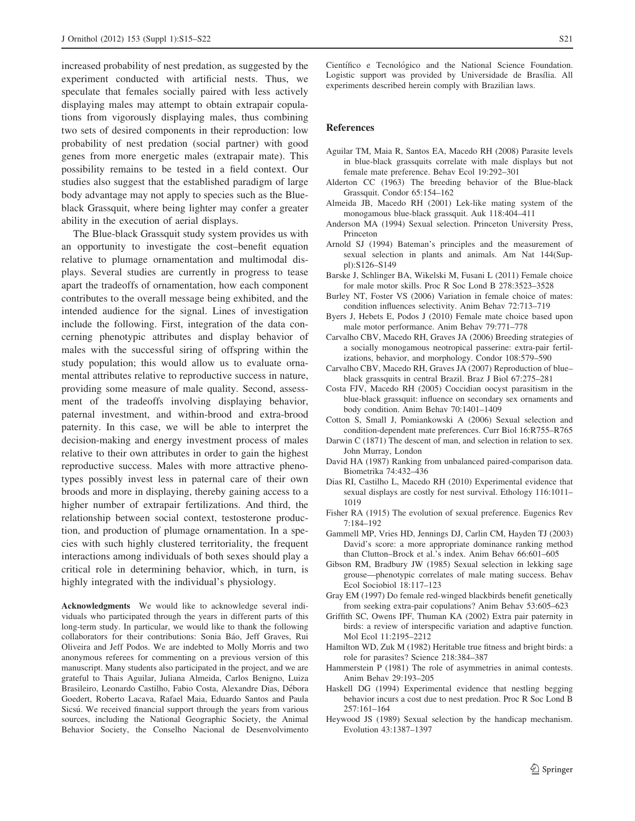increased probability of nest predation, as suggested by the experiment conducted with artificial nests. Thus, we speculate that females socially paired with less actively displaying males may attempt to obtain extrapair copulations from vigorously displaying males, thus combining two sets of desired components in their reproduction: low probability of nest predation (social partner) with good genes from more energetic males (extrapair mate). This possibility remains to be tested in a field context. Our studies also suggest that the established paradigm of large body advantage may not apply to species such as the Blueblack Grassquit, where being lighter may confer a greater ability in the execution of aerial displays.

The Blue-black Grassquit study system provides us with an opportunity to investigate the cost–benefit equation relative to plumage ornamentation and multimodal displays. Several studies are currently in progress to tease apart the tradeoffs of ornamentation, how each component contributes to the overall message being exhibited, and the intended audience for the signal. Lines of investigation include the following. First, integration of the data concerning phenotypic attributes and display behavior of males with the successful siring of offspring within the study population; this would allow us to evaluate ornamental attributes relative to reproductive success in nature, providing some measure of male quality. Second, assessment of the tradeoffs involving displaying behavior, paternal investment, and within-brood and extra-brood paternity. In this case, we will be able to interpret the decision-making and energy investment process of males relative to their own attributes in order to gain the highest reproductive success. Males with more attractive phenotypes possibly invest less in paternal care of their own broods and more in displaying, thereby gaining access to a higher number of extrapair fertilizations. And third, the relationship between social context, testosterone production, and production of plumage ornamentation. In a species with such highly clustered territoriality, the frequent interactions among individuals of both sexes should play a critical role in determining behavior, which, in turn, is highly integrated with the individual's physiology.

Acknowledgments We would like to acknowledge several individuals who participated through the years in different parts of this long-term study. In particular, we would like to thank the following collaborators for their contributions: Sonia Báo, Jeff Graves, Rui Oliveira and Jeff Podos. We are indebted to Molly Morris and two anonymous referees for commenting on a previous version of this manuscript. Many students also participated in the project, and we are grateful to Thais Aguilar, Juliana Almeida, Carlos Benigno, Luiza Brasileiro, Leonardo Castilho, Fabio Costa, Alexandre Dias, Débora Goedert, Roberto Lacava, Rafael Maia, Eduardo Santos and Paula Sicsu. We received financial support through the years from various sources, including the National Geographic Society, the Animal Behavior Society, the Conselho Nacional de Desenvolvimento

Científico e Tecnológico and the National Science Foundation. Logistic support was provided by Universidade de Brasília. All experiments described herein comply with Brazilian laws.

#### References

- Aguilar TM, Maia R, Santos EA, Macedo RH (2008) Parasite levels in blue-black grassquits correlate with male displays but not female mate preference. Behav Ecol 19:292–301
- Alderton CC (1963) The breeding behavior of the Blue-black Grassquit. Condor 65:154–162
- Almeida JB, Macedo RH (2001) Lek-like mating system of the monogamous blue-black grassquit. Auk 118:404–411
- Anderson MA (1994) Sexual selection. Princeton University Press, Princeton
- Arnold SJ (1994) Bateman's principles and the measurement of sexual selection in plants and animals. Am Nat 144(Suppl):S126–S149
- Barske J, Schlinger BA, Wikelski M, Fusani L (2011) Female choice for male motor skills. Proc R Soc Lond B 278:3523–3528
- Burley NT, Foster VS (2006) Variation in female choice of mates: condition influences selectivity. Anim Behav 72:713–719
- Byers J, Hebets E, Podos J (2010) Female mate choice based upon male motor performance. Anim Behav 79:771–778
- Carvalho CBV, Macedo RH, Graves JA (2006) Breeding strategies of a socially monogamous neotropical passerine: extra-pair fertilizations, behavior, and morphology. Condor 108:579–590
- Carvalho CBV, Macedo RH, Graves JA (2007) Reproduction of blue– black grassquits in central Brazil. Braz J Biol 67:275–281
- Costa FJV, Macedo RH (2005) Coccidian oocyst parasitism in the blue-black grassquit: influence on secondary sex ornaments and body condition. Anim Behav 70:1401–1409
- Cotton S, Small J, Pomiankowski A (2006) Sexual selection and condition-dependent mate preferences. Curr Biol 16:R755–R765
- Darwin C (1871) The descent of man, and selection in relation to sex. John Murray, London
- David HA (1987) Ranking from unbalanced paired-comparison data. Biometrika 74:432–436
- Dias RI, Castilho L, Macedo RH (2010) Experimental evidence that sexual displays are costly for nest survival. Ethology 116:1011– 1019
- Fisher RA (1915) The evolution of sexual preference. Eugenics Rev 7:184–192
- Gammell MP, Vries HD, Jennings DJ, Carlin CM, Hayden TJ (2003) David's score: a more appropriate dominance ranking method than Clutton–Brock et al.'s index. Anim Behav 66:601–605
- Gibson RM, Bradbury JW (1985) Sexual selection in lekking sage grouse—phenotypic correlates of male mating success. Behav Ecol Sociobiol 18:117–123
- Gray EM (1997) Do female red-winged blackbirds benefit genetically from seeking extra-pair copulations? Anim Behav 53:605–623
- Griffith SC, Owens IPF, Thuman KA (2002) Extra pair paternity in birds: a review of interspecific variation and adaptive function. Mol Ecol 11:2195–2212
- Hamilton WD, Zuk M (1982) Heritable true fitness and bright birds: a role for parasites? Science 218:384–387
- Hammerstein P (1981) The role of asymmetries in animal contests. Anim Behav 29:193–205
- Haskell DG (1994) Experimental evidence that nestling begging behavior incurs a cost due to nest predation. Proc R Soc Lond B 257:161–164
- Heywood JS (1989) Sexual selection by the handicap mechanism. Evolution 43:1387–1397